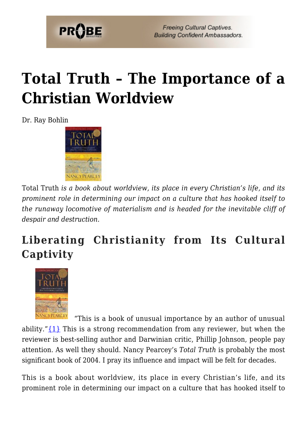

**Freeing Cultural Captives. Building Confident Ambassadors.** 

# **[Total Truth – The Importance of a](https://probe.org/total-truth/) [Christian Worldview](https://probe.org/total-truth/)**

Dr. Ray Bohlin



Total Truth *is a book about worldview, its place in every Christian's life, and its prominent role in determining our impact on a culture that has hooked itself to the runaway locomotive of materialism and is headed for the inevitable cliff of despair and destruction.*

### **Liberating Christianity from Its Cultural Captivity**



 "This is a book of unusual importance by an author of unusual ability." $\{1\}$  This is a strong recommendation from any reviewer, but when the reviewer is best-selling author and Darwinian critic, Phillip Johnson, people pay attention. As well they should. Nancy Pearcey's *Total Truth* is probably the most significant book of 2004. I pray its influence and impact will be felt for decades.

This is a book about worldview, its place in every Christian's life, and its prominent role in determining our impact on a culture that has hooked itself to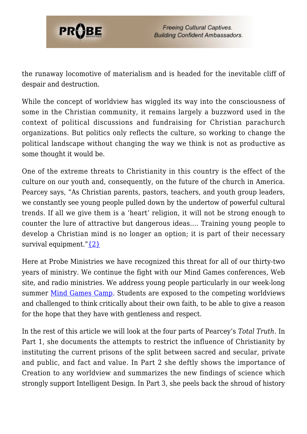

the runaway locomotive of materialism and is headed for the inevitable cliff of despair and destruction.

While the concept of worldview has wiggled its way into the consciousness of some in the Christian community, it remains largely a buzzword used in the context of political discussions and fundraising for Christian parachurch organizations. But politics only reflects the culture, so working to change the political landscape without changing the way we think is not as productive as some thought it would be.

One of the extreme threats to Christianity in this country is the effect of the culture on our youth and, consequently, on the future of the church in America. Pearcey says, "As Christian parents, pastors, teachers, and youth group leaders, we constantly see young people pulled down by the undertow of powerful cultural trends. If all we give them is a 'heart' religion, it will not be strong enough to counter the lure of attractive but dangerous ideas…. Training young people to develop a Christian mind is no longer an option; it is part of their necessary survival equipment." $\{2\}$ 

Here at Probe Ministries we have recognized this threat for all of our thirty-two years of ministry. We continue the fight with our Mind Games conferences, Web site, and radio ministries. We address young people particularly in our week-long summer [Mind Games Camp.](https://probe.org/mind-games) Students are exposed to the competing worldviews and challenged to think critically about their own faith, to be able to give a reason for the hope that they have with gentleness and respect.

In the rest of this article we will look at the four parts of Pearcey's *Total Truth*. In Part 1, she documents the attempts to restrict the influence of Christianity by instituting the current prisons of the split between sacred and secular, private and public, and fact and value. In Part 2 she deftly shows the importance of Creation to any worldview and summarizes the new findings of science which strongly support Intelligent Design. In Part 3, she peels back the shroud of history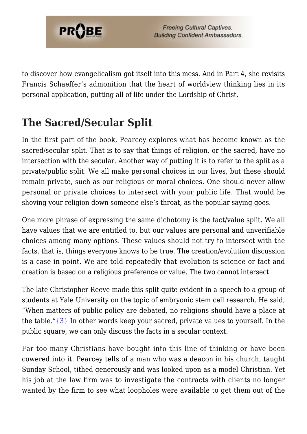

to discover how evangelicalism got itself into this mess. And in Part 4, she revisits Francis Schaeffer's admonition that the heart of worldview thinking lies in its personal application, putting all of life under the Lordship of Christ.

#### **The Sacred/Secular Split**

In the first part of the book, Pearcey explores what has become known as the sacred/secular split. That is to say that things of religion, or the sacred, have no intersection with the secular. Another way of putting it is to refer to the split as a private/public split. We all make personal choices in our lives, but these should remain private, such as our religious or moral choices. One should never allow personal or private choices to intersect with your public life. That would be shoving your religion down someone else's throat, as the popular saying goes.

One more phrase of expressing the same dichotomy is the fact/value split. We all have values that we are entitled to, but our values are personal and unverifiable choices among many options. These values should not try to intersect with the facts, that is, things everyone knows to be true. The creation/evolution discussion is a case in point. We are told repeatedly that evolution is science or fact and creation is based on a religious preference or value. The two cannot intersect.

The late Christopher Reeve made this split quite evident in a speech to a group of students at Yale University on the topic of embryonic stem cell research. He said, "When matters of public policy are debated, no religions should have a place at the table." $\{3\}$  In other words keep your sacred, private values to yourself. In the public square, we can only discuss the facts in a secular context.

Far too many Christians have bought into this line of thinking or have been cowered into it. Pearcey tells of a man who was a deacon in his church, taught Sunday School, tithed generously and was looked upon as a model Christian. Yet his job at the law firm was to investigate the contracts with clients no longer wanted by the firm to see what loopholes were available to get them out of the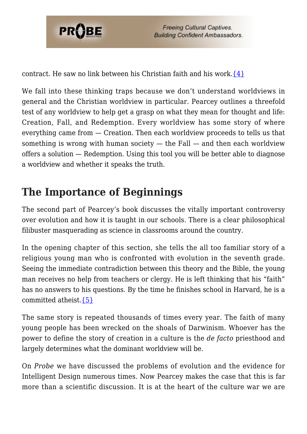

contract. He saw no link between his Christian faith and his work. $\{4\}$ 

We fall into these thinking traps because we don't understand worldviews in general and the Christian worldview in particular. Pearcey outlines a threefold test of any worldview to help get a grasp on what they mean for thought and life: Creation, Fall, and Redemption. Every worldview has some story of where everything came from — Creation. Then each worldview proceeds to tells us that something is wrong with human society  $-$  the Fall  $-$  and then each worldview offers a solution — Redemption. Using this tool you will be better able to diagnose a worldview and whether it speaks the truth.

### **The Importance of Beginnings**

The second part of Pearcey's book discusses the vitally important controversy over evolution and how it is taught in our schools. There is a clear philosophical filibuster masquerading as science in classrooms around the country.

In the opening chapter of this section, she tells the all too familiar story of a religious young man who is confronted with evolution in the seventh grade. Seeing the immediate contradiction between this theory and the Bible, the young man receives no help from teachers or clergy. He is left thinking that his "faith" has no answers to his questions. By the time he finishes school in Harvard, he is a committed atheist. $\{5\}$ 

The same story is repeated thousands of times every year. The faith of many young people has been wrecked on the shoals of Darwinism. Whoever has the power to define the story of creation in a culture is the *de facto* priesthood and largely determines what the dominant worldview will be.

On *Probe* we have discussed the problems of evolution and the evidence for Intelligent Design numerous times. Now Pearcey makes the case that this is far more than a scientific discussion. It is at the heart of the culture war we are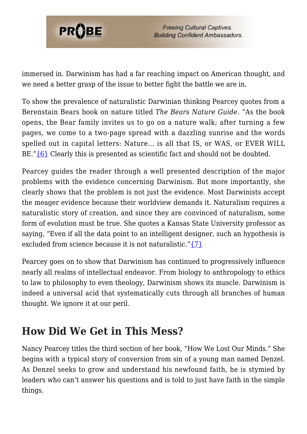

immersed in. Darwinism has had a far reaching impact on American thought, and we need a better grasp of the issue to better fight the battle we are in.

To show the prevalence of naturalistic Darwinian thinking Pearcey quotes from a Berenstain Bears book on nature titled *The Bears Nature Guide*. "As the book opens, the Bear family invites us to go on a nature walk; after turning a few pages, we come to a two-page spread with a dazzling sunrise and the words spelled out in capital letters: Nature… is all that IS, or WAS, or EVER WILL BE." $\{6\}$  Clearly this is presented as scientific fact and should not be doubted.

Pearcey guides the reader through a well presented description of the major problems with the evidence concerning Darwinism. But more importantly, she clearly shows that the problem is not just the evidence. Most Darwinists accept the meager evidence because their worldview demands it. Naturalism requires a naturalistic story of creation, and since they are convinced of naturalism, some form of evolution must be true. She quotes a Kansas State University professor as saying, "Even if all the data point to an intelligent designer, such an hypothesis is excluded from science because it is not naturalistic." $\{7\}$ 

Pearcey goes on to show that Darwinism has continued to progressively influence nearly all realms of intellectual endeavor. From biology to anthropology to ethics to law to philosophy to even theology, Darwinism shows its muscle. Darwinism is indeed a universal acid that systematically cuts through all branches of human thought. We ignore it at our peril.

#### **How Did We Get in This Mess?**

Nancy Pearcey titles the third section of her book, "How We Lost Our Minds." She begins with a typical story of conversion from sin of a young man named Denzel. As Denzel seeks to grow and understand his newfound faith, he is stymied by leaders who can't answer his questions and is told to just have faith in the simple things.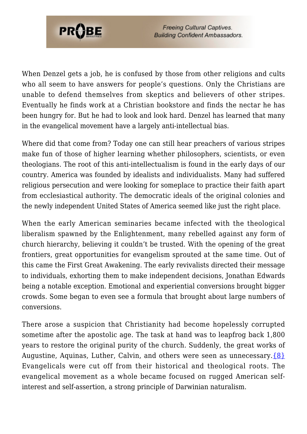

**Freeing Cultural Captives. Building Confident Ambassadors.** 

When Denzel gets a job, he is confused by those from other religions and cults who all seem to have answers for people's questions. Only the Christians are unable to defend themselves from skeptics and believers of other stripes. Eventually he finds work at a Christian bookstore and finds the nectar he has been hungry for. But he had to look and look hard. Denzel has learned that many in the evangelical movement have a largely anti-intellectual bias.

Where did that come from? Today one can still hear preachers of various stripes make fun of those of higher learning whether philosophers, scientists, or even theologians. The root of this anti-intellectualism is found in the early days of our country. America was founded by idealists and individualists. Many had suffered religious persecution and were looking for someplace to practice their faith apart from ecclesiastical authority. The democratic ideals of the original colonies and the newly independent United States of America seemed like just the right place.

When the early American seminaries became infected with the theological liberalism spawned by the Enlightenment, many rebelled against any form of church hierarchy, believing it couldn't be trusted. With the opening of the great frontiers, great opportunities for evangelism sprouted at the same time. Out of this came the First Great Awakening. The early revivalists directed their message to individuals, exhorting them to make independent decisions, Jonathan Edwards being a notable exception. Emotional and experiential conversions brought bigger crowds. Some began to even see a formula that brought about large numbers of conversions.

There arose a suspicion that Christianity had become hopelessly corrupted sometime after the apostolic age. The task at hand was to leapfrog back 1,800 years to restore the original purity of the church. Suddenly, the great works of Augustine, Aquinas, Luther, Calvin, and others were seen as unnecessary.  $\{8\}$ Evangelicals were cut off from their historical and theological roots. The evangelical movement as a whole became focused on rugged American selfinterest and self-assertion, a strong principle of Darwinian naturalism.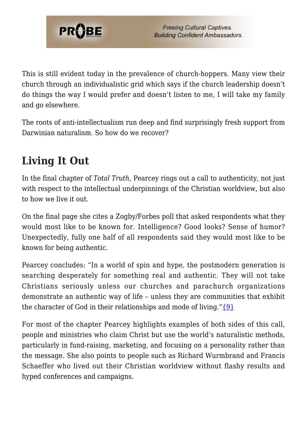

This is still evident today in the prevalence of church-hoppers. Many view their church through an individualistic grid which says if the church leadership doesn't do things the way I would prefer and doesn't listen to me, I will take my family and go elsewhere.

The roots of anti-intellectualism run deep and find surprisingly fresh support from Darwinian naturalism. So how do we recover?

## **Living It Out**

In the final chapter of *Total Truth*, Pearcey rings out a call to authenticity, not just with respect to the intellectual underpinnings of the Christian worldview, but also to how we live it out.

On the final page she cites a Zogby/Forbes poll that asked respondents what they would most like to be known for. Intelligence? Good looks? Sense of humor? Unexpectedly, fully one half of all respondents said they would most like to be known for being authentic.

Pearcey concludes: "In a world of spin and hype, the postmodern generation is searching desperately for something real and authentic. They will not take Christians seriously unless our churches and parachurch organizations demonstrate an authentic way of life – unless they are communities that exhibit the character of God in their relationships and mode of living." $\{9\}$ 

For most of the chapter Pearcey highlights examples of both sides of this call, people and ministries who claim Christ but use the world's naturalistic methods, particularly in fund-raising, marketing, and focusing on a personality rather than the message. She also points to people such as Richard Wurmbrand and Francis Schaeffer who lived out their Christian worldview without flashy results and hyped conferences and campaigns.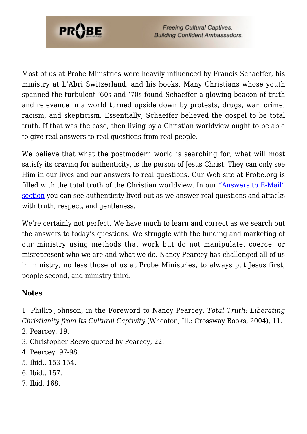

Most of us at Probe Ministries were heavily influenced by Francis Schaeffer, his ministry at L'Abri Switzerland, and his books. Many Christians whose youth spanned the turbulent '60s and '70s found Schaeffer a glowing beacon of truth and relevance in a world turned upside down by protests, drugs, war, crime, racism, and skepticism. Essentially, Schaeffer believed the gospel to be total truth. If that was the case, then living by a Christian worldview ought to be able to give real answers to real questions from real people.

We believe that what the postmodern world is searching for, what will most satisfy its craving for authenticity, is the person of Jesus Christ. They can only see Him in our lives and our answers to real questions. Our Web site at Probe.org is filled with the total truth of the Christian worldview. In our ["Answers to E-Mail"](https://www.probe.org/probe-answers-emails/) [section](https://www.probe.org/probe-answers-emails/) you can see authenticity lived out as we answer real questions and attacks with truth, respect, and gentleness.

We're certainly not perfect. We have much to learn and correct as we search out the answers to today's questions. We struggle with the funding and marketing of our ministry using methods that work but do not manipulate, coerce, or misrepresent who we are and what we do. Nancy Pearcey has challenged all of us in ministry, no less those of us at Probe Ministries, to always put Jesus first, people second, and ministry third.

#### **Notes**

<span id="page-7-0"></span>1. Phillip Johnson, in the Foreword to Nancy Pearcey, *Total Truth: Liberating Christianity from Its Cultural Captivity* (Wheaton, Ill.: Crossway Books, 2004), 11.

- <span id="page-7-1"></span>2. Pearcey, 19.
- <span id="page-7-2"></span>3. Christopher Reeve quoted by Pearcey, 22.
- <span id="page-7-3"></span>4. Pearcey, 97-98.
- <span id="page-7-4"></span>5. Ibid., 153-154.
- <span id="page-7-5"></span>6. Ibid., 157.
- <span id="page-7-7"></span><span id="page-7-6"></span>7. Ibid, 168.